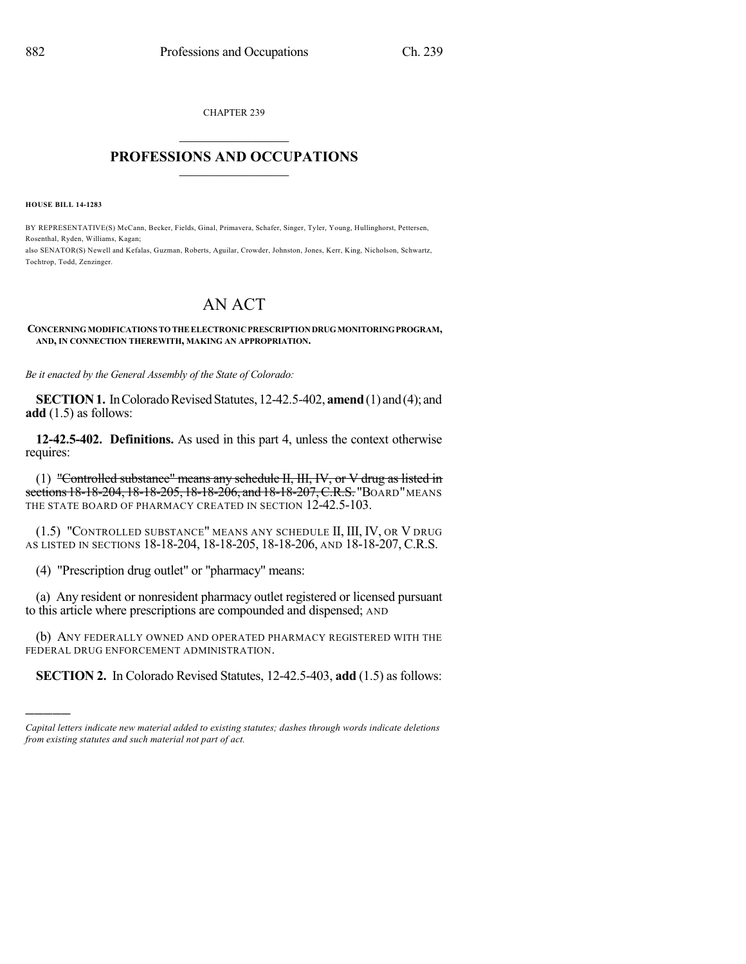CHAPTER 239

## $\mathcal{L}_\text{max}$  . The set of the set of the set of the set of the set of the set of the set of the set of the set of the set of the set of the set of the set of the set of the set of the set of the set of the set of the set **PROFESSIONS AND OCCUPATIONS**  $\frac{1}{2}$  ,  $\frac{1}{2}$  ,  $\frac{1}{2}$  ,  $\frac{1}{2}$  ,  $\frac{1}{2}$  ,  $\frac{1}{2}$  ,  $\frac{1}{2}$

**HOUSE BILL 14-1283**

)))))

BY REPRESENTATIVE(S) McCann, Becker, Fields, Ginal, Primavera, Schafer, Singer, Tyler, Young, Hullinghorst, Pettersen, Rosenthal, Ryden, Williams, Kagan; also SENATOR(S) Newell and Kefalas, Guzman, Roberts, Aguilar, Crowder, Johnston, Jones, Kerr, King, Nicholson, Schwartz, Tochtrop, Todd, Zenzinger.

## AN ACT

## **CONCERNINGMODIFICATIONS TOTHEELECTRONICPRESCRIPTIONDRUGMONITORINGPROGRAM, AND, IN CONNECTION THEREWITH, MAKING AN APPROPRIATION.**

*Be it enacted by the General Assembly of the State of Colorado:*

**SECTION 1.** In Colorado Revised Statutes, 12-42.5-402, **amend** (1) and (4); and **add** (1.5) as follows:

**12-42.5-402. Definitions.** As used in this part 4, unless the context otherwise requires:

(1) "Controlled substance" means any schedule  $H$ ,  $HH$ ,  $VV$ , or  $V$  drug as listed in sections 18-18-204, 18-18-205, 18-18-206, and 18-18-207, C.R.S. "BOARD" MEANS THE STATE BOARD OF PHARMACY CREATED IN SECTION 12-42.5-103.

(1.5) "CONTROLLED SUBSTANCE" MEANS ANY SCHEDULE II, III, IV, OR V DRUG AS LISTED IN SECTIONS 18-18-204, 18-18-205, 18-18-206, AND 18-18-207, C.R.S.

(4) "Prescription drug outlet" or "pharmacy" means:

(a) Any resident or nonresident pharmacy outlet registered or licensed pursuant to this article where prescriptions are compounded and dispensed; AND

(b) ANY FEDERALLY OWNED AND OPERATED PHARMACY REGISTERED WITH THE FEDERAL DRUG ENFORCEMENT ADMINISTRATION.

**SECTION 2.** In Colorado Revised Statutes, 12-42.5-403, **add** (1.5) as follows:

*Capital letters indicate new material added to existing statutes; dashes through words indicate deletions from existing statutes and such material not part of act.*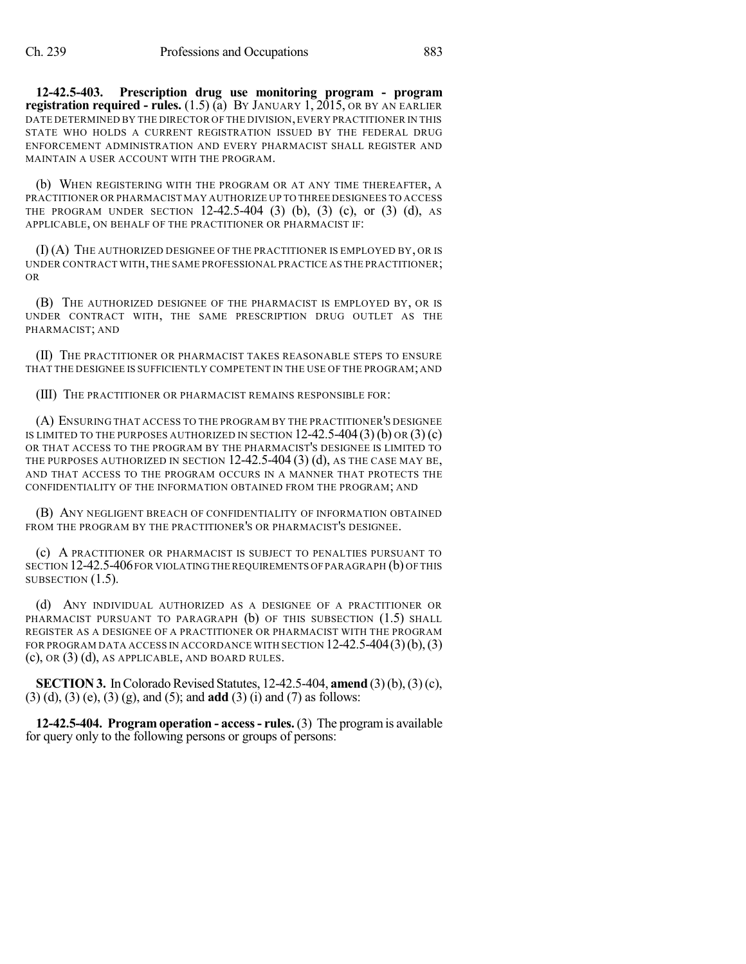**12-42.5-403. Prescription drug use monitoring program - program registration required - rules.** (1.5) (a) BY JANUARY 1, 2015, OR BY AN EARLIER DATE DETERMINED BY THE DIRECTOR OF THE DIVISION,EVERY PRACTITIONER IN THIS STATE WHO HOLDS A CURRENT REGISTRATION ISSUED BY THE FEDERAL DRUG ENFORCEMENT ADMINISTRATION AND EVERY PHARMACIST SHALL REGISTER AND MAINTAIN A USER ACCOUNT WITH THE PROGRAM.

(b) WHEN REGISTERING WITH THE PROGRAM OR AT ANY TIME THEREAFTER, A PRACTITIONER OR PHARMACIST MAY AUTHORIZE UP TO THREE DESIGNEES TO ACCESS THE PROGRAM UNDER SECTION 12-42.5-404 (3) (b), (3) (c), or (3) (d), AS APPLICABLE, ON BEHALF OF THE PRACTITIONER OR PHARMACIST IF:

(I) (A) THE AUTHORIZED DESIGNEE OF THE PRACTITIONER IS EMPLOYED BY, OR IS UNDER CONTRACT WITH,THE SAME PROFESSIONAL PRACTICE AS THE PRACTITIONER; OR

(B) THE AUTHORIZED DESIGNEE OF THE PHARMACIST IS EMPLOYED BY, OR IS UNDER CONTRACT WITH, THE SAME PRESCRIPTION DRUG OUTLET AS THE PHARMACIST; AND

(II) THE PRACTITIONER OR PHARMACIST TAKES REASONABLE STEPS TO ENSURE THAT THE DESIGNEE IS SUFFICIENTLY COMPETENT IN THE USE OF THE PROGRAM; AND

(III) THE PRACTITIONER OR PHARMACIST REMAINS RESPONSIBLE FOR:

(A) ENSURING THAT ACCESS TO THE PROGRAM BY THE PRACTITIONER'S DESIGNEE IS LIMITED TO THE PURPOSES AUTHORIZED IN SECTION  $12-42.5-404(3)$  (b) OR (3) (c) OR THAT ACCESS TO THE PROGRAM BY THE PHARMACIST'S DESIGNEE IS LIMITED TO THE PURPOSES AUTHORIZED IN SECTION 12-42.5-404 (3) (d), AS THE CASE MAY BE, AND THAT ACCESS TO THE PROGRAM OCCURS IN A MANNER THAT PROTECTS THE CONFIDENTIALITY OF THE INFORMATION OBTAINED FROM THE PROGRAM; AND

(B) ANY NEGLIGENT BREACH OF CONFIDENTIALITY OF INFORMATION OBTAINED FROM THE PROGRAM BY THE PRACTITIONER'S OR PHARMACIST'S DESIGNEE.

(c) A PRACTITIONER OR PHARMACIST IS SUBJECT TO PENALTIES PURSUANT TO SECTION 12-42.5-406 FOR VIOLATING THE REQUIREMENTS OF PARAGRAPH (b) OF THIS SUBSECTION  $(1.5)$ .

(d) ANY INDIVIDUAL AUTHORIZED AS A DESIGNEE OF A PRACTITIONER OR PHARMACIST PURSUANT TO PARAGRAPH (b) OF THIS SUBSECTION (1.5) SHALL REGISTER AS A DESIGNEE OF A PRACTITIONER OR PHARMACIST WITH THE PROGRAM FOR PROGRAM DATA ACCESS IN ACCORDANCE WITH SECTION  $12-42.5-404(3)(b),(3)$ (c), OR (3) (d), AS APPLICABLE, AND BOARD RULES.

**SECTION 3.** In Colorado Revised Statutes, 12-42.5-404, **amend** (3)(b), (3)(c), (3) (d), (3) (e), (3) (g), and (5); and **add** (3) (i) and (7) as follows:

**12-42.5-404. Program operation - access- rules.** (3) The programis available for query only to the following persons or groups of persons: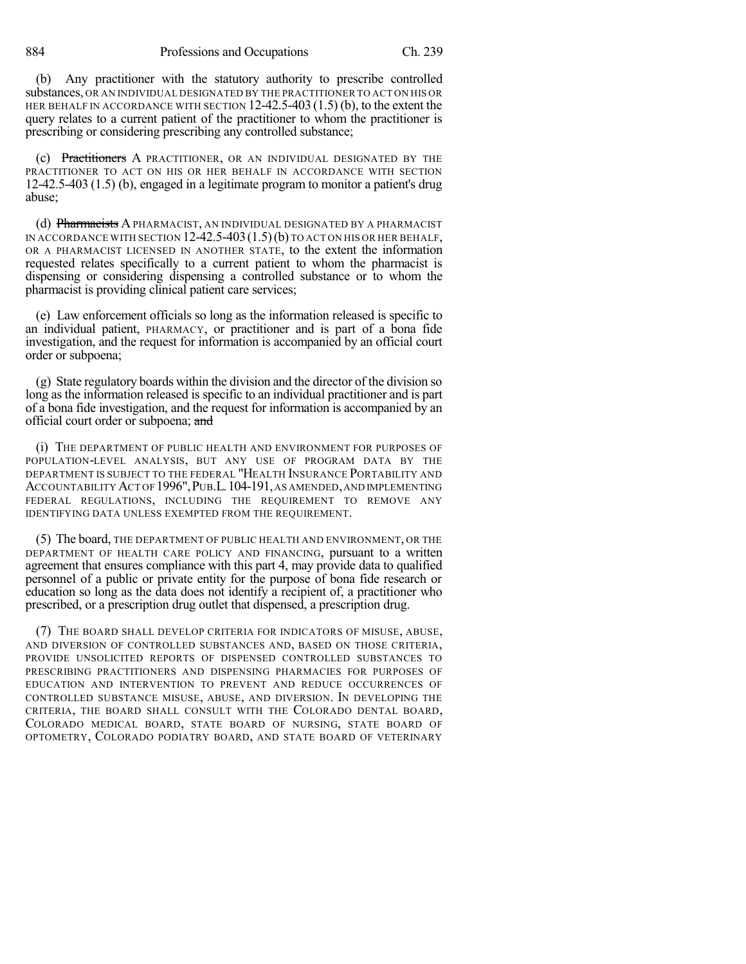(b) Any practitioner with the statutory authority to prescribe controlled substances, OR AN INDIVIDUAL DESIGNATED BY THE PRACTITIONER TO ACT ON HIS OR HER BEHALF IN ACCORDANCE WITH SECTION  $12-42.5-403(1.5)$  (b), to the extent the query relates to a current patient of the practitioner to whom the practitioner is prescribing or considering prescribing any controlled substance;

(c) Practitioners A PRACTITIONER, OR AN INDIVIDUAL DESIGNATED BY THE PRACTITIONER TO ACT ON HIS OR HER BEHALF IN ACCORDANCE WITH SECTION 12-42.5-403 (1.5) (b), engaged in a legitimate program to monitor a patient's drug abuse;

(d) Pharmacists A PHARMACIST, AN INDIVIDUAL DESIGNATED BY A PHARMACIST IN ACCORDANCE WITH SECTION 12-42.5-403  $(1.5)$  (b) TO ACT ON HIS OR HER BEHALF, OR A PHARMACIST LICENSED IN ANOTHER STATE, to the extent the information requested relates specifically to a current patient to whom the pharmacist is dispensing or considering dispensing a controlled substance or to whom the pharmacist is providing clinical patient care services;

(e) Law enforcement officials so long as the information released is specific to an individual patient, PHARMACY, or practitioner and is part of a bona fide investigation, and the request for information is accompanied by an official court order or subpoena;

(g) State regulatory boards within the division and the director of the division so long as the information released is specific to an individual practitioner and is part of a bona fide investigation, and the request for information is accompanied by an official court order or subpoena; and

(i) THE DEPARTMENT OF PUBLIC HEALTH AND ENVIRONMENT FOR PURPOSES OF POPULATION-LEVEL ANALYSIS, BUT ANY USE OF PROGRAM DATA BY THE DEPARTMENT IS SUBJECT TO THE FEDERAL "HEALTH INSURANCE PORTABILITY AND ACCOUNTABILITY ACT OF 1996",PUB.L.104-191,AS AMENDED,AND IMPLEMENTING FEDERAL REGULATIONS, INCLUDING THE REQUIREMENT TO REMOVE ANY IDENTIFYING DATA UNLESS EXEMPTED FROM THE REQUIREMENT.

(5) The board, THE DEPARTMENT OF PUBLIC HEALTH AND ENVIRONMENT, OR THE DEPARTMENT OF HEALTH CARE POLICY AND FINANCING, pursuant to a written agreement that ensures compliance with this part 4, may provide data to qualified personnel of a public or private entity for the purpose of bona fide research or education so long as the data does not identify a recipient of, a practitioner who prescribed, or a prescription drug outlet that dispensed, a prescription drug.

(7) THE BOARD SHALL DEVELOP CRITERIA FOR INDICATORS OF MISUSE, ABUSE, AND DIVERSION OF CONTROLLED SUBSTANCES AND, BASED ON THOSE CRITERIA, PROVIDE UNSOLICITED REPORTS OF DISPENSED CONTROLLED SUBSTANCES TO PRESCRIBING PRACTITIONERS AND DISPENSING PHARMACIES FOR PURPOSES OF EDUCATION AND INTERVENTION TO PREVENT AND REDUCE OCCURRENCES OF CONTROLLED SUBSTANCE MISUSE, ABUSE, AND DIVERSION. IN DEVELOPING THE CRITERIA, THE BOARD SHALL CONSULT WITH THE COLORADO DENTAL BOARD, COLORADO MEDICAL BOARD, STATE BOARD OF NURSING, STATE BOARD OF OPTOMETRY, COLORADO PODIATRY BOARD, AND STATE BOARD OF VETERINARY